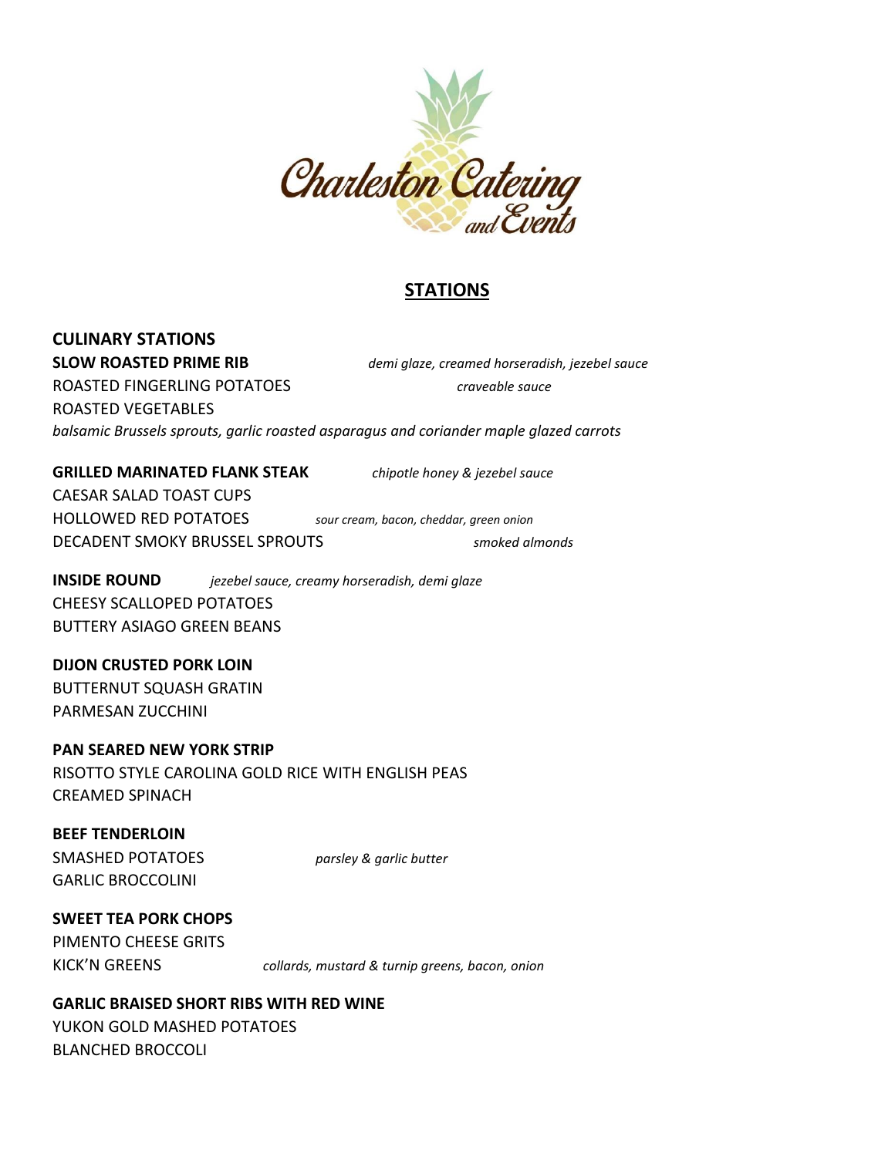

# **STATIONS**

### **CULINARY STATIONS**

**SLOW ROASTED PRIME RIB** *demi glaze, creamed horseradish, jezebel sauce* ROASTED FINGERLING POTATOES *craveable sauce* ROASTED VEGETABLES *balsamic Brussels sprouts, garlic roasted asparagus and coriander maple glazed carrots* 

#### **GRILLED MARINATED FLANK STEAK** *chipotle honey & jezebel sauce*

CAESAR SALAD TOAST CUPS HOLLOWED RED POTATOES *sour cream, bacon, cheddar, green onion* DECADENT SMOKY BRUSSEL SPROUTS *smoked almonds* 

**INSIDE ROUND** *jezebel sauce, creamy horseradish, demi glaze* CHEESY SCALLOPED POTATOES BUTTERY ASIAGO GREEN BEANS

**DIJON CRUSTED PORK LOIN** BUTTERNUT SQUASH GRATIN PARMESAN ZUCCHINI

**PAN SEARED NEW YORK STRIP** RISOTTO STYLE CAROLINA GOLD RICE WITH ENGLISH PEAS CREAMED SPINACH

**BEEF TENDERLOIN** SMASHED POTATOES *parsley & garlic butter* GARLIC BROCCOLINI

# **SWEET TEA PORK CHOPS**

PIMENTO CHEESE GRITS

KICK'N GREENS *collards, mustard & turnip greens, bacon, onion*

# **GARLIC BRAISED SHORT RIBS WITH RED WINE**

YUKON GOLD MASHED POTATOES BLANCHED BROCCOLI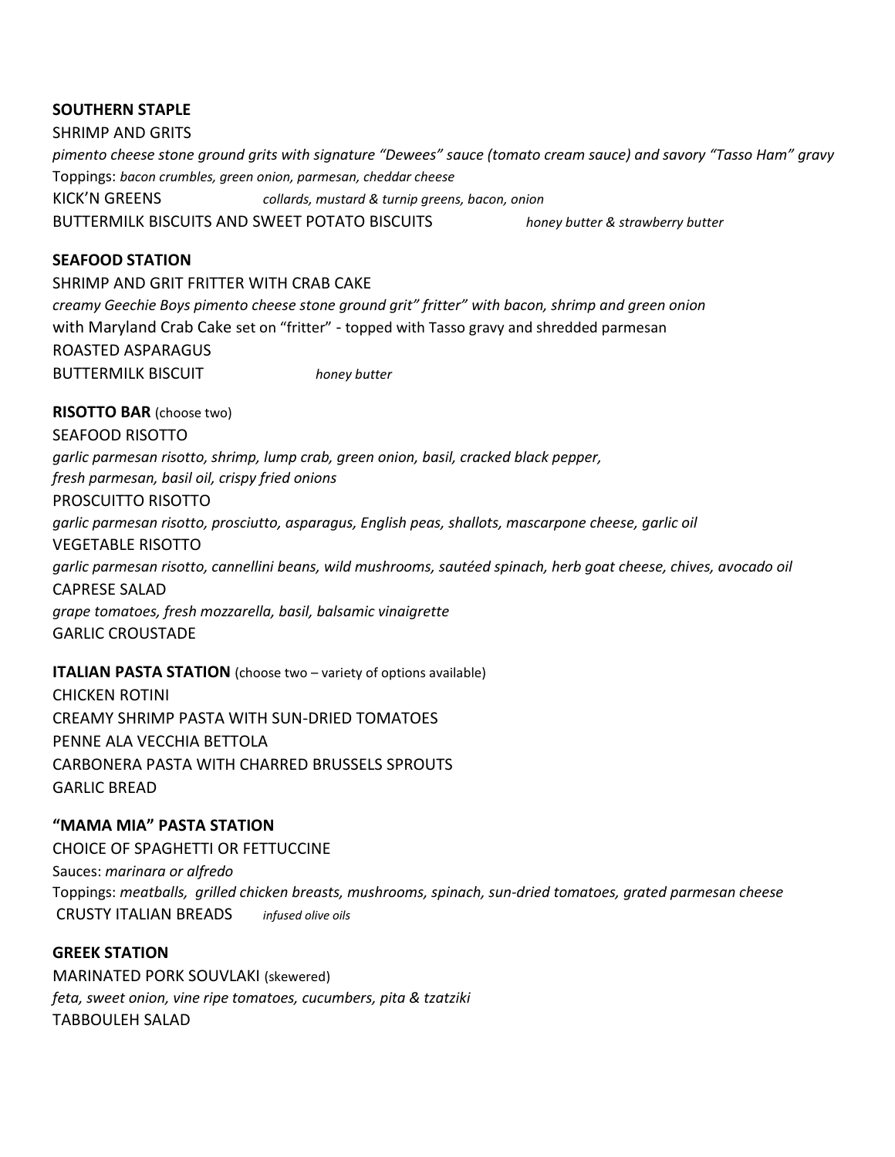### **SOUTHERN STAPLE**

SHRIMP AND GRITS *pimento cheese stone ground grits with signature "Dewees" sauce (tomato cream sauce) and savory "Tasso Ham" gravy*  Toppings: *bacon crumbles, green onion, parmesan, cheddar cheese* KICK'N GREENS *collards, mustard & turnip greens, bacon, onion* BUTTERMILK BISCUITS AND SWEET POTATO BISCUITS *honey butter & strawberry butter*

### **SEAFOOD STATION**

SHRIMP AND GRIT FRITTER WITH CRAB CAKE *creamy Geechie Boys pimento cheese stone ground grit" fritter" with bacon, shrimp and green onion* with Maryland Crab Cake set on "fritter" - topped with Tasso gravy and shredded parmesan ROASTED ASPARAGUS BUTTERMILK BISCUIT *honey butter*

**RISOTTO BAR** (choose two)

SEAFOOD RISOTTO *garlic parmesan risotto, shrimp, lump crab, green onion, basil, cracked black pepper, fresh parmesan, basil oil, crispy fried onions*  PROSCUITTO RISOTTO *garlic parmesan risotto, prosciutto, asparagus, English peas, shallots, mascarpone cheese, garlic oil* VEGETABLE RISOTTO *garlic parmesan risotto, cannellini beans, wild mushrooms, sautéed spinach, herb goat cheese, chives, avocado oil* CAPRESE SALAD *grape tomatoes, fresh mozzarella, basil, balsamic vinaigrette* GARLIC CROUSTADE

**ITALIAN PASTA STATION** (choose two – variety of options available) CHICKEN ROTINI CREAMY SHRIMP PASTA WITH SUN-DRIED TOMATOES PENNE ALA VECCHIA BETTOLA CARBONERA PASTA WITH CHARRED BRUSSELS SPROUTS

GARLIC BREAD

## **"MAMA MIA" PASTA STATION**

CHOICE OF SPAGHETTI OR FETTUCCINE Sauces: *marinara or alfredo* Toppings: *meatballs, grilled chicken breasts, mushrooms, spinach, sun-dried tomatoes, grated parmesan cheese* CRUSTY ITALIAN BREADS *infused olive oils*

### **GREEK STATION**

MARINATED PORK SOUVLAKI (skewered) *feta, sweet onion, vine ripe tomatoes, cucumbers, pita & tzatziki* TABBOULEH SALAD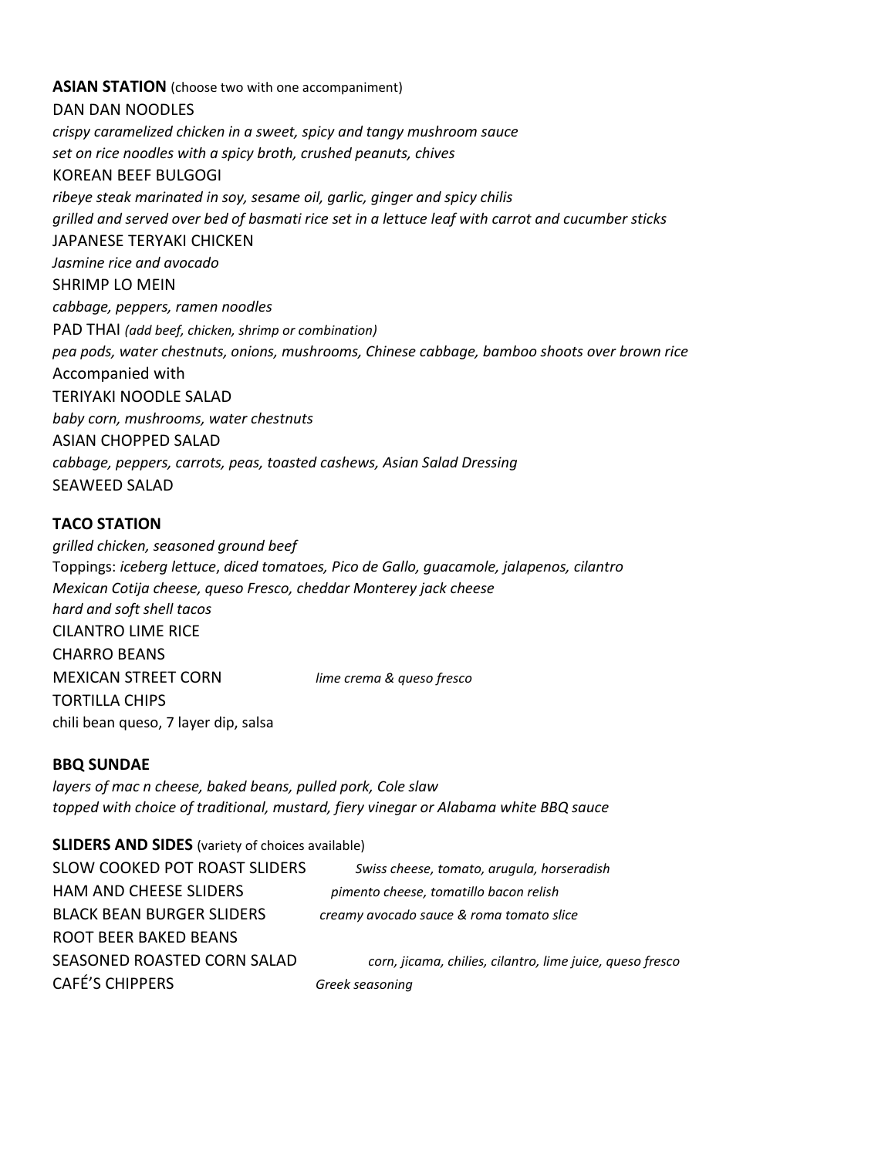#### **ASIAN STATION** (choose two with one accompaniment)

DAN DAN NOODLES *crispy caramelized chicken in a sweet, spicy and tangy mushroom sauce set on rice noodles with a spicy broth, crushed peanuts, chives* KOREAN BEEF BULGOGI *ribeye steak marinated in soy, sesame oil, garlic, ginger and spicy chilis grilled and served over bed of basmati rice set in a lettuce leaf with carrot and cucumber sticks* JAPANESE TERYAKI CHICKEN *Jasmine rice and avocado* SHRIMP LO MEIN *cabbage, peppers, ramen noodles* PAD THAI *(add beef, chicken, shrimp or combination) pea pods, water chestnuts, onions, mushrooms, Chinese cabbage, bamboo shoots over brown rice*  Accompanied with TERIYAKI NOODLE SALAD *baby corn, mushrooms, water chestnuts* ASIAN CHOPPED SALAD *cabbage, peppers, carrots, peas, toasted cashews, Asian Salad Dressing* SEAWEED SALAD

### **TACO STATION**

*grilled chicken, seasoned ground beef* Toppings: *iceberg lettuce*, *diced tomatoes, Pico de Gallo, guacamole, jalapenos, cilantro Mexican Cotija cheese, queso Fresco, cheddar Monterey jack cheese hard and soft shell tacos* CILANTRO LIME RICE CHARRO BEANS MEXICAN STREET CORN *lime crema & queso fresco* TORTILLA CHIPS chili bean queso, 7 layer dip, salsa

#### **BBQ SUNDAE**

*layers of mac n cheese, baked beans, pulled pork, Cole slaw topped with choice of traditional, mustard, fiery vinegar or Alabama white BBQ sauce*

**SLIDERS AND SIDES** (variety of choices available) SLOW COOKED POT ROAST SLIDERS *Swiss cheese, tomato, arugula, horseradish* HAM AND CHEESE SLIDERS *pimento cheese, tomatillo bacon relish* BLACK BEAN BURGER SLIDERS *creamy avocado sauce & roma tomato slice* ROOT BEER BAKED BEANS SEASONED ROASTED CORN SALAD *corn, jicama, chilies, cilantro, lime juice, queso fresco* CAFÉ'S CHIPPERS *Greek seasoning*